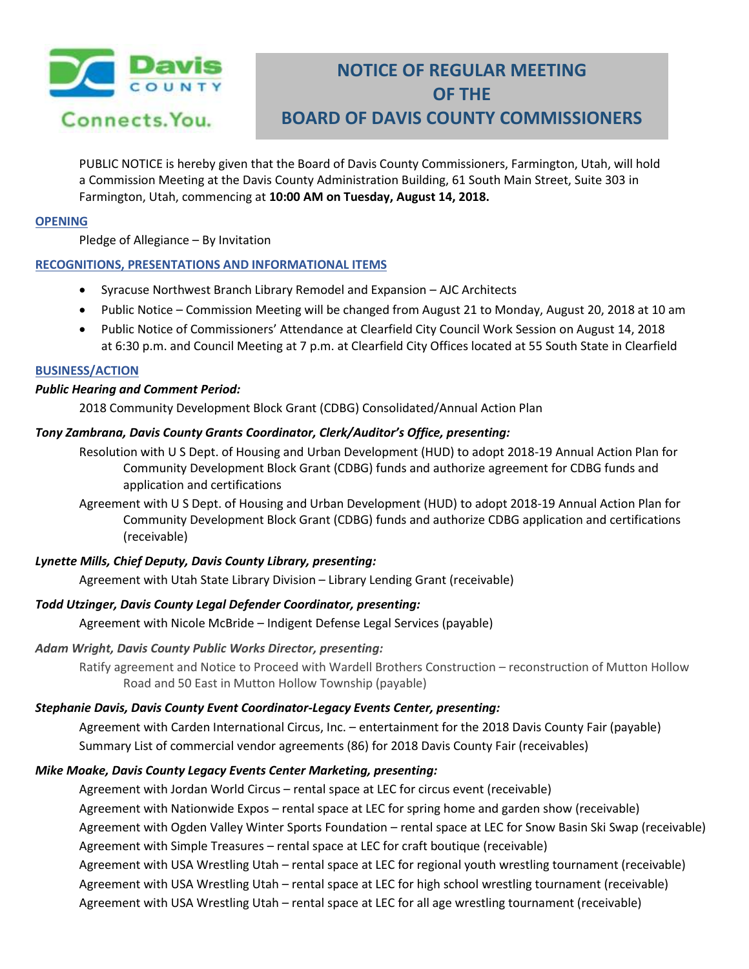

# **NOTICE OF REGULAR MEETING OF THE BOARD OF DAVIS COUNTY COMMISSIONERS**

PUBLIC NOTICE is hereby given that the Board of Davis County Commissioners, Farmington, Utah, will hold a Commission Meeting at the Davis County Administration Building, 61 South Main Street, Suite 303 in Farmington, Utah, commencing at **10:00 AM on Tuesday, August 14, 2018.**

### **OPENING**

Pledge of Allegiance – By Invitation

# **RECOGNITIONS, PRESENTATIONS AND INFORMATIONAL ITEMS**

- Syracuse Northwest Branch Library Remodel and Expansion AJC Architects
- Public Notice Commission Meeting will be changed from August 21 to Monday, August 20, 2018 at 10 am
- Public Notice of Commissioners' Attendance at Clearfield City Council Work Session on August 14, 2018 at 6:30 p.m. and Council Meeting at 7 p.m. at Clearfield City Offices located at 55 South State in Clearfield

#### **BUSINESS/ACTION**

#### *Public Hearing and Comment Period:*

2018 Community Development Block Grant (CDBG) Consolidated/Annual Action Plan

# *Tony Zambrana, Davis County Grants Coordinator, Clerk/Auditor's Office, presenting:*

Resolution with U S Dept. of Housing and Urban Development (HUD) to adopt 2018-19 Annual Action Plan for Community Development Block Grant (CDBG) funds and authorize agreement for CDBG funds and application and certifications

Agreement with U S Dept. of Housing and Urban Development (HUD) to adopt 2018-19 Annual Action Plan for Community Development Block Grant (CDBG) funds and authorize CDBG application and certifications (receivable)

# *Lynette Mills, Chief Deputy, Davis County Library, presenting:*

Agreement with Utah State Library Division – Library Lending Grant (receivable)

# *Todd Utzinger, Davis County Legal Defender Coordinator, presenting:*

Agreement with Nicole McBride – Indigent Defense Legal Services (payable)

# *Adam Wright, Davis County Public Works Director, presenting:*

Ratify agreement and Notice to Proceed with Wardell Brothers Construction – reconstruction of Mutton Hollow Road and 50 East in Mutton Hollow Township (payable)

# *Stephanie Davis, Davis County Event Coordinator-Legacy Events Center, presenting:*

Agreement with Carden International Circus, Inc. – entertainment for the 2018 Davis County Fair (payable) Summary List of commercial vendor agreements (86) for 2018 Davis County Fair (receivables)

# *Mike Moake, Davis County Legacy Events Center Marketing, presenting:*

Agreement with Jordan World Circus – rental space at LEC for circus event (receivable) Agreement with Nationwide Expos – rental space at LEC for spring home and garden show (receivable) Agreement with Ogden Valley Winter Sports Foundation – rental space at LEC for Snow Basin Ski Swap (receivable) Agreement with Simple Treasures – rental space at LEC for craft boutique (receivable) Agreement with USA Wrestling Utah – rental space at LEC for regional youth wrestling tournament (receivable) Agreement with USA Wrestling Utah – rental space at LEC for high school wrestling tournament (receivable)

Agreement with USA Wrestling Utah – rental space at LEC for all age wrestling tournament (receivable)